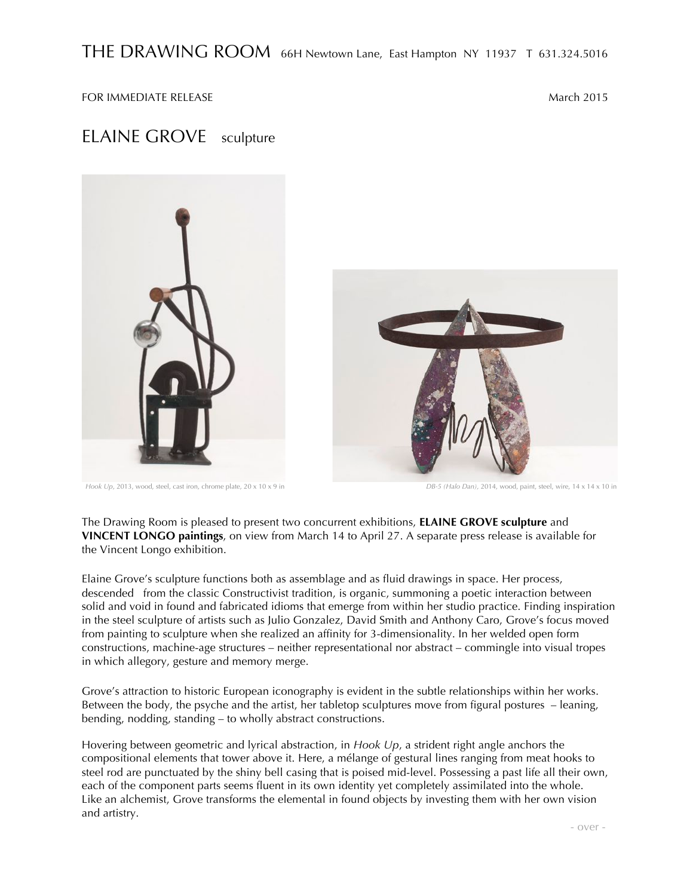FOR IMMEDIATE RELEASE NATIONAL SERVICE SERVICE SERVICE SERVICE SERVICE SERVICE SERVICE SERVICE SERVICE SERVICE

## ELAINE GROVE sculpture



*Hook Up*, 2013, wood, steel, cast iron, chrome plate, 20 x 10 x 9 in *DB-5 (Halo Dan),* 2014, wood, paint, steel, wire, 14 x 14 x 10 in

The Drawing Room is pleased to present two concurrent exhibitions, **ELAINE GROVE sculpture** and **VINCENT LONGO paintings**, on view from March 14 to April 27. A separate press release is available for the Vincent Longo exhibition.

Elaine Grove's sculpture functions both as assemblage and as fluid drawings in space. Her process, descended from the classic Constructivist tradition, is organic, summoning a poetic interaction between solid and void in found and fabricated idioms that emerge from within her studio practice. Finding inspiration in the steel sculpture of artists such as Julio Gonzalez, David Smith and Anthony Caro, Grove's focus moved from painting to sculpture when she realized an affinity for 3-dimensionality. In her welded open form constructions, machine-age structures – neither representational nor abstract – commingle into visual tropes in which allegory, gesture and memory merge.

Grove's attraction to historic European iconography is evident in the subtle relationships within her works. Between the body, the psyche and the artist, her tabletop sculptures move from figural postures – leaning, bending, nodding, standing – to wholly abstract constructions.

Hovering between geometric and lyrical abstraction, in *Hook Up*, a strident right angle anchors the compositional elements that tower above it. Here, a mélange of gestural lines ranging from meat hooks to steel rod are punctuated by the shiny bell casing that is poised mid-level. Possessing a past life all their own, each of the component parts seems fluent in its own identity yet completely assimilated into the whole. Like an alchemist, Grove transforms the elemental in found objects by investing them with her own vision and artistry.